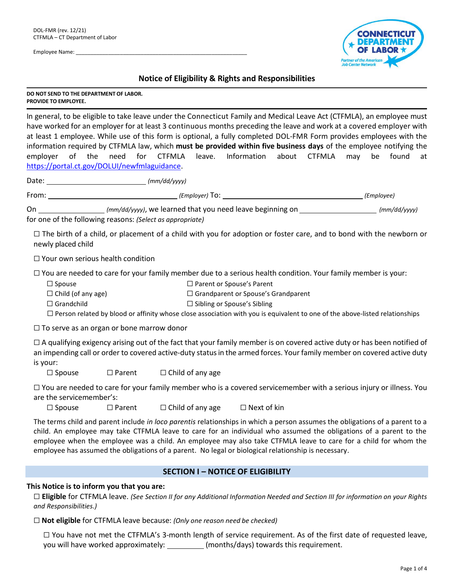Employee Name: \_\_\_\_\_\_\_\_\_\_\_\_\_\_\_\_\_\_\_\_\_\_\_\_\_\_\_\_\_\_\_\_\_\_\_\_\_\_\_\_\_\_\_\_\_\_\_\_\_\_\_\_\_\_\_\_\_\_



# **Notice of Eligibility & Rights and Responsibilities**

**DO NOT SEND TO THE DEPARTMENT OF LABOR. PROVIDE TO EMPLOYEE.**

In general, to be eligible to take leave under the Connecticut Family and Medical Leave Act (CTFMLA), an employee must have worked for an employer for at least 3 continuous months preceding the leave and work at a covered employer with at least 1 employee. While use of this form is optional, a fully completed DOL-FMR Form provides employees with the information required by CTFMLA law, which **must be provided within five business days** of the employee notifying the employer of the need for CTFMLA leave. Information about CTFMLA may be found at [https://portal.ct.gov/DOLUI/newfmlaguidance.](https://portal.ct.gov/DOLUI/newfmlaguidance)

Date: *(mm/dd/yyyy)*

From: *(Employer)* To: *(Employee)*

On *(mm/dd/yyyy)*, we learned that you need leave beginning on *(mm/dd/yyyy)* for one of the following reasons: *(Select as appropriate)*

 $\Box$  The birth of a child, or placement of a child with you for adoption or foster care, and to bond with the newborn or newly placed child

☐ Your own serious health condition

☐ You are needed to care for your family member due to a serious health condition. Your family member is your:

☐ Spouse ☐ Parent or Spouse's Parent

☐ Child (of any age) ☐ Grandparent or Spouse's Grandparent

☐ Grandchild ☐ Sibling or Spouse's Sibling

□ Person related by blood or affinity whose close association with you is equivalent to one of the above-listed relationships

□ To serve as an organ or bone marrow donor

 $\Box$  A qualifying exigency arising out of the fact that your family member is on covered active duty or has been notified of an impending call or order to covered active-duty statusin the armed forces. Your family member on covered active duty is your:

☐ Spouse ☐ Parent ☐ Child of any age

☐ You are needed to care for your family member who is a covered servicemember with a serious injury or illness. You are the servicemember's:

☐ Spouse ☐ Parent ☐ Child of any age ☐ Next of kin

The terms child and parent include *in loco parentis* relationships in which a person assumes the obligations of a parent to a child. An employee may take CTFMLA leave to care for an individual who assumed the obligations of a parent to the employee when the employee was a child. An employee may also take CTFMLA leave to care for a child for whom the employee has assumed the obligations of a parent. No legal or biological relationship is necessary.

## **SECTION I – NOTICE OF ELIGIBILITY**

**This Notice is to inform you that you are:**

□ Eligible for CTFMLA leave. (See Section II for any Additional Information Needed and Section III for information on your Rights *and Responsibilities.)*

☐ **Not eligible** for CTFMLA leave because: *(Only one reason need be checked)*

☐ You have not met the CTFMLA's 3-month length of service requirement. As of the first date of requested leave, you will have worked approximately: (months/days) towards this requirement.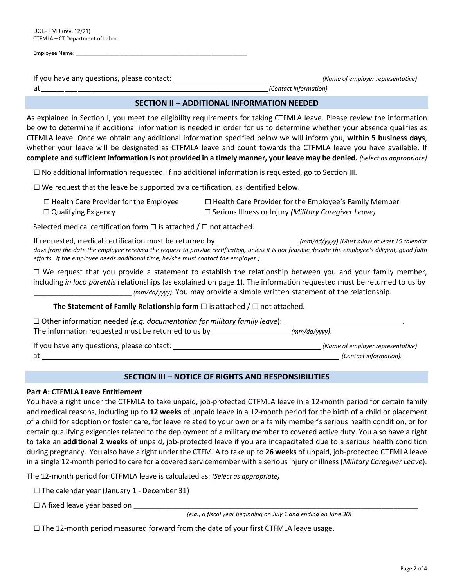| Employee Name: |  |
|----------------|--|
|                |  |

If you have any questions, please contact: *(Name of employer representative)* at *(Contact information).*

As explained in Section I, you meet the eligibility requirements for taking CTFMLA leave. Please review the information below to determine if additional information is needed in order for us to determine whether your absence qualifies as CTFMLA leave. Once we obtain any additional information specified below we will inform you, **within 5 business days**, whether your leave will be designated as CTFMLA leave and count towards the CTFMLA leave you have available. **If** complete and sufficient information is not provided in a timely manner, your leave may be denied. (Select as appropriate)

 $\Box$  No additional information requested. If no additional information is requested, go to Section III.

 $\Box$  We request that the leave be supported by a certification, as identified below.

| $\Box$ Health Care Provider for the Employee | $\Box$ Health Care Provider for the Employee's Family Member |
|----------------------------------------------|--------------------------------------------------------------|
| $\Box$ Qualifying Exigency                   | $\Box$ Serious Illness or Injury (Military Caregiver Leave)  |

Selected medical certification form  $\Box$  is attached /  $\Box$  not attached.

If requested, medical certification must be returned by *(mm/dd/yyyy) (Must allow at least 15 calendar days from the date the employee received the request to provide certification, unless it is not feasible despite the employee's diligent, good faith efforts. If the employee needs additional time, he/she must contact the employer.)*

 $\Box$  We request that you provide a statement to establish the relationship between you and your family member, including *in loco parentis* relationships (as explained on page 1). The information requested must be returned to us by \_\_\_\_\_\_\_\_\_\_\_\_\_\_\_\_\_\_\_\_\_\_\_\_ *(mm/dd/yyyy).* You may provide a simple written statement of the relationship.

## **The Statement of Family Relationship form** ☐ is attached / ☐ not attached.

| $\Box$ Other information needed (e.g. documentation for military family leave): |               |
|---------------------------------------------------------------------------------|---------------|
| The information requested must be returned to us by                             | (mm/dd/yyyy). |

If you have any questions, please contact: *(Name of employer representative)* at *(Contact information).*

## **SECTION III – NOTICE OF RIGHTS AND RESPONSIBILITIES**

### **Part A: CTFMLA Leave Entitlement**

You have a right under the CTFMLA to take unpaid, job-protected CTFMLA leave in a 12-month period for certain family and medical reasons, including up to **12 weeks** of unpaid leave in a 12-month period for the birth of a child or placement of a child for adoption or foster care, for leave related to your own or a family member's serious health condition, or for certain qualifying exigencies related to the deployment of a military member to covered active duty. You also have a right to take an **additional 2 weeks** of unpaid, job-protected leave if you are incapacitated due to a serious health condition during pregnancy. You also have a right under the CTFMLA to take up to **26 weeks** of unpaid, job-protected CTFMLA leave in a single 12-month period to care for a covered servicemember with a serious injury or illness (*Military Caregiver Leave*).

The 12-month period for CTFMLA leave is calculated as: *(Select as appropriate)*

- $\Box$  The calendar year (January 1 December 31)
- $\Box$  A fixed leave year based on

*(e.g., a fiscal year beginning on July 1 and ending on June 30)*

 $\Box$  The 12-month period measured forward from the date of your first CTFMLA leave usage.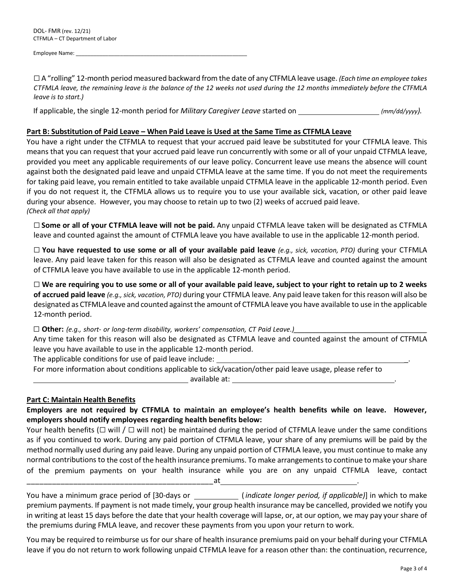Employee Name:

☐ A "rolling" 12-month period measured backward from the date of any CTFMLA leave usage. *(Each time an employee takes* CTFMLA leave, the remaining leave is the balance of the 12 weeks not used during the 12 months immediately before the CTFMLA *leave is to start.)*

If applicable, the single 12-month period for *Military Caregiver Leave* started on *(mm/dd/yyyy).*

### **Part B: Substitution of Paid Leave – When Paid Leave is Used at the Same Time as CTFMLA Leave**

You have a right under the CTFMLA to request that your accrued paid leave be substituted for your CTFMLA leave. This means that you can request that your accrued paid leave run concurrently with some or all of your unpaid CTFMLA leave, provided you meet any applicable requirements of our leave policy. Concurrent leave use means the absence will count against both the designated paid leave and unpaid CTFMLA leave at the same time. If you do not meet the requirements for taking paid leave, you remain entitled to take available unpaid CTFMLA leave in the applicable 12-month period. Even if you do not request it, the CTFMLA allows us to require you to use your available sick, vacation, or other paid leave during your absence. However, you may choose to retain up to two (2) weeks of accrued paid leave. *(Check all that apply)*

☐ **Some or all of your CTFMLA leave will not be paid.** Any unpaid CTFMLA leave taken will be designated as CTFMLA leave and counted against the amount of CTFMLA leave you have available to use in the applicable 12-month period.

 $\Box$  You have requested to use some or all of your available paid leave (e.g., sick, vacation, PTO) during your CTFMLA leave. Any paid leave taken for this reason will also be designated as CTFMLA leave and counted against the amount of CTFMLA leave you have available to use in the applicable 12-month period.

☐ **We are requiring you to use some or all of your available paid leave, subject to your right to retain up to 2 weeks of accrued paid leave** *(e.g., sick, vacation, PTO)* during your CTFMLA leave*.* Any paid leave taken for this reason will also be designated as CTFMLA leave and counted against the amount of CTFMLA leave you have available to use in the applicable 12-month period.

☐ **Other:** *(e.g., short- or long-term disability, workers' compensation, CT Paid Leave.)\_\_\_\_\_\_\_\_\_\_\_\_\_\_\_\_\_\_\_\_\_\_\_\_\_\_\_\_\_\_\_\_\_\_\_\_*

Any time taken for this reason will also be designated as CTFMLA leave and counted against the amount of CTFMLA leave you have available to use in the applicable 12-month period.

The applicable conditions for use of paid leave include:

For more information about conditions applicable to sick/vacation/other paid leave usage, please refer to available at: .

## **Part C: Maintain Health Benefits**

**Employers are not required by CTFMLA to maintain an employee's health benefits while on leave. However, employers should notify employees regarding health benefits below:**

Your health benefits ( $\Box$  will /  $\Box$  will not) be maintained during the period of CTFMLA leave under the same conditions as if you continued to work. During any paid portion of CTFMLA leave, your share of any premiums will be paid by the method normally used during any paid leave. During any unpaid portion of CTFMLA leave, you must continue to make any normal contributions to the cost of the health insurance premiums. To make arrangementsto continue to make yourshare of the premium payments on your health insurance while you are on any unpaid CTFMLA leave, contact \_\_\_\_\_\_\_\_\_\_\_\_\_\_\_\_\_\_\_\_\_\_\_\_\_\_\_\_\_\_\_\_\_\_\_\_\_\_\_\_\_\_\_\_at .

You have a minimum grace period of [30-days or ( *indicate longer period, if applicable)*] in which to make premium payments. If payment is not made timely, your group health insurance may be cancelled, provided we notify you in writing at least 15 days before the date that your health coverage will lapse, or, at our option, we may pay your share of the premiums during FMLA leave, and recover these payments from you upon your return to work.

You may be required to reimburse us for our share of health insurance premiums paid on your behalf during your CTFMLA leave if you do not return to work following unpaid CTFMLA leave for a reason other than: the continuation, recurrence,